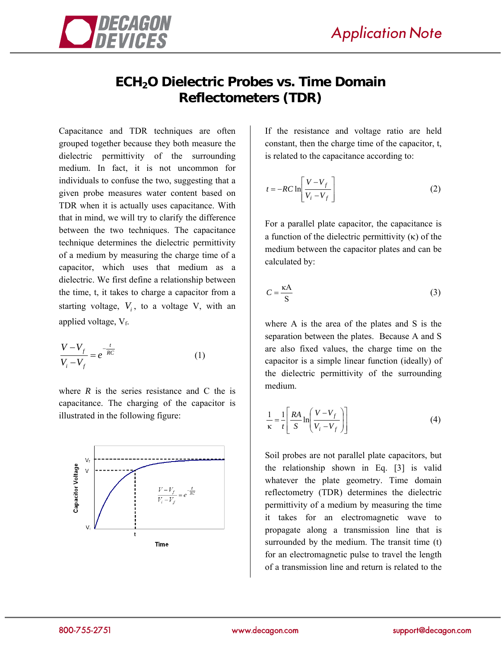

## **ECH2O Dielectric Probes vs. Time Domain Reflectometers (TDR)**

Capacitance and TDR techniques are often grouped together because they both measure the dielectric permittivity of the surrounding medium. In fact, it is not uncommon for individuals to confuse the two, suggesting that a given probe measures water content based on TDR when it is actually uses capacitance. With that in mind, we will try to clarify the difference between the two techniques. The capacitance technique determines the dielectric permittivity of a medium by measuring the charge time of a capacitor, which uses that medium as a dielectric. We first define a relationship between the time, t, it takes to charge a capacitor from a starting voltage,  $V_i$ , to a voltage V, with an applied voltage,  $V_f$ .

$$
\frac{V - V_f}{V_i - V_f} = e^{-\frac{t}{RC}}
$$
 (1)

where  $R$  is the series resistance and  $C$  the is capacitance. The charging of the capacitor is illustrated in the following figure:



If the resistance and voltage ratio are held constant, then the charge time of the capacitor, t, is related to the capacitance according to:

$$
t = -RC \ln \left[ \frac{V - V_f}{V_i - V_f} \right]
$$
 (2)

For a parallel plate capacitor, the capacitance is a function of the dielectric permittivity  $(\kappa)$  of the medium between the capacitor plates and can be calculated by:

$$
C = \frac{\kappa A}{S} \tag{3}
$$

where A is the area of the plates and S is the separation between the plates. Because A and S are also fixed values, the charge time on the capacitor is a simple linear function (ideally) of the dielectric permittivity of the surrounding medium.

$$
\frac{1}{\kappa} = \frac{1}{t} \left[ \frac{RA}{S} \ln \left( \frac{V - V_f}{V_i - V_f} \right) \right]
$$
(4)

Soil probes are not parallel plate capacitors, but the relationship shown in Eq. [3] is valid whatever the plate geometry. Time domain reflectometry (TDR) determines the dielectric permittivity of a medium by measuring the time it takes for an electromagnetic wave to propagate along a transmission line that is surrounded by the medium. The transit time (t) for an electromagnetic pulse to travel the length of a transmission line and return is related to the